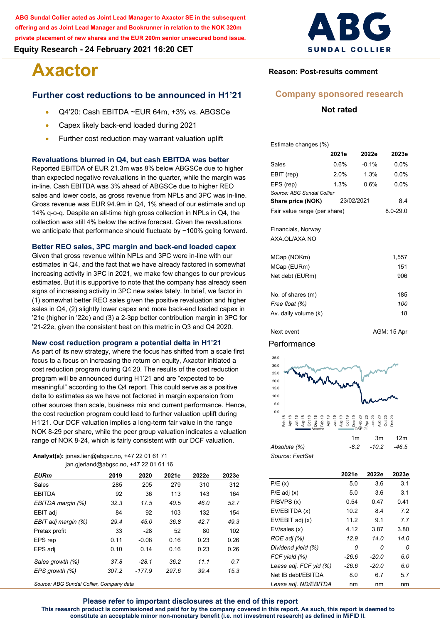**ABG Sundal Collier acted as Joint Lead Manager to Axactor SE in the subsequent offering and as Joint Lead Manager and Bookrunner in relation to the NOK 320m private placement of new shares and the EUR 200m senior unsecured bond issue.**

**Equity Research - 24 February 2021 16:20 CET**

# **Axactor**

# **Further cost reductions to be announced in H1'21**

- Q4'20: Cash EBITDA ~EUR 64m, +3% vs. ABGSCe
- Capex likely back-end loaded during 2021
- Further cost reduction may warrant valuation uplift

#### **Revaluations blurred in Q4, but cash EBITDA was better**

Reported EBITDA of EUR 21.3m was 8% below ABGSCe due to higher than expected negative revaluations in the quarter, while the margin was in-line. Cash EBITDA was 3% ahead of ABGSCe due to higher REO sales and lower costs, as gross revenue from NPLs and 3PC was in-line. Gross revenue was EUR 94.9m in Q4, 1% ahead of our estimate and up 14% q-o-q. Despite an all-time high gross collection in NPLs in Q4, the collection was still 4% below the active forecast. Given the revaluations we anticipate that performance should fluctuate by ~100% going forward.

#### **Better REO sales, 3PC margin and back-end loaded capex**

Given that gross revenue within NPLs and 3PC were in-line with our estimates in Q4, and the fact that we have already factored in somewhat increasing activity in 3PC in 2021, we make few changes to our previous estimates. But it is supportive to note that the company has already seen signs of increasing activity in 3PC new sales lately. In brief, we factor in (1) somewhat better REO sales given the positive revaluation and higher sales in Q4, (2) slightly lower capex and more back-end loaded capex in '21e (higher in '22e) and (3) a 2-3pp better contribution margin in 3PC for '21-22e, given the consistent beat on this metric in Q3 and Q4 2020.

#### **New cost reduction program a potential delta in H1'21**

As part of its new strategy, where the focus has shifted from a scale first focus to a focus on increasing the return on equity, Axactor initiated a cost reduction program during Q4'20. The results of the cost reduction program will be announced during H1'21 and are "expected to be meaningful" according to the Q4 report. This could serve as a positive delta to estimates as we have not factored in margin expansion from other sources than scale, business mix and current performance. Hence, the cost reduction program could lead to further valuation uplift during H1'21. Our DCF valuation implies a long-term fair value in the range NOK 8-29 per share, while the peer group valuation indicates a valuation range of NOK 8-24, which is fairly consistent with our DCF valuation.

#### **Analyst(s):** jonas.lien@abgsc.no, +47 22 01 61 71 jan.gjerland@abgsc.no, +47 22 01 61 16

| <b>EURm</b>         | 2019  | 2020     | 2021e | 2022e | 2023e |
|---------------------|-------|----------|-------|-------|-------|
| Sales               | 285   | 205      | 279   | 310   | 312   |
| <b>EBITDA</b>       | 92    | 36       | 113   | 143   | 164   |
| EBITDA margin (%)   | 32.3  | 175      | 40.5  | 46.0  | 52.7  |
| EBIT adj            | 84    | 92       | 103   | 132   | 154   |
| EBIT adj margin (%) | 29.4  | 45.0     | 36.8  | 42.7  | 49.3  |
| Pretax profit       | 33    | $-28$    | 52    | 80    | 102   |
| EPS rep             | 0.11  | $-0.08$  | 0.16  | 0.23  | 0.26  |
| EPS adj             | 0.10  | 0.14     | 0.16  | 0.23  | 0.26  |
| Sales growth (%)    | 37.8  | $-28.1$  | 36.2  | 11.1  | 0.7   |
| EPS growth (%)      | 307.2 | $-177.9$ | 297.6 | 39.4  | 15.3  |

*Source: ABG Sundal Collier, Company data*



# **Reason: Post-results comment**

# **Company sponsored research**

### **Not rated**

Estimate changes (%)

|                                     | 2021e        | 2022e   | 2023e   |
|-------------------------------------|--------------|---------|---------|
| Sales                               | 0.6%         | $-0.1%$ | $0.0\%$ |
| EBIT (rep)                          | $2.0\%$      | 1.3%    | 0.0%    |
| EPS (rep)                           | 1.3%         | $0.6\%$ | $0.0\%$ |
| Source: ABG Sundal Collier          |              |         |         |
| Share price (NOK)                   | 8.4          |         |         |
| Fair value range (per share)        | $8.0 - 29.0$ |         |         |
| Financials, Norway<br>AXA.OL/AXA NO |              |         |         |
| MCap (NOKm)                         |              |         | 1,557   |
| MCap (EURm)                         |              |         | 151     |
| Net debt (EURm)                     |              |         | 906     |
| No of shares $(m)$                  |              |         | 185     |

| 185 |
|-----|
| 100 |
| 18  |
|     |

# Next event AGM: 15 Apr

# Performance



|                 | <br>$\cdot$            | . |
|-----------------|------------------------|---|
| Absolute (%)    | $-8.2$ $-10.2$ $-46.5$ |   |
| Source: FactSet |                        |   |

|                        | 2021e   | 2022e   | 2023e |
|------------------------|---------|---------|-------|
| P/E(x)                 | 5.0     | 3.6     | 3.1   |
| $P/E$ adj $(x)$        | 5.0     | 3.6     | 3.1   |
| P/BVPS(x)              | 0.54    | 0.47    | 0.41  |
| EV/EBITDA (x)          | 10.2    | 8.4     | 7.2   |
| EV/EBIT adj (x)        | 11.2    | 9.1     | 7.7   |
| EV/sales (x)           | 4.12    | 3.87    | 3.80  |
| ROE adj (%)            | 12.9    | 14.0    | 14.0  |
| Dividend yield (%)     | 0       | n       | 0     |
| FCF yield (%)          | $-26.6$ | $-20.0$ | 6.0   |
| Lease adj. FCF yld (%) | $-26.6$ | $-20.0$ | 6.0   |
| Net IB debt/EBITDA     | 8.0     | 6.7     | 5.7   |
| Lease adj. ND/EBITDA   | nm      | nm      | nm    |

**Please refer to important disclosures at the end of this report This research product is commissioned and paid for by the company covered in this report. As such, this report is deemed to constitute an acceptable minor non-monetary benefit (i.e. not investment research) as defined in MiFID II.**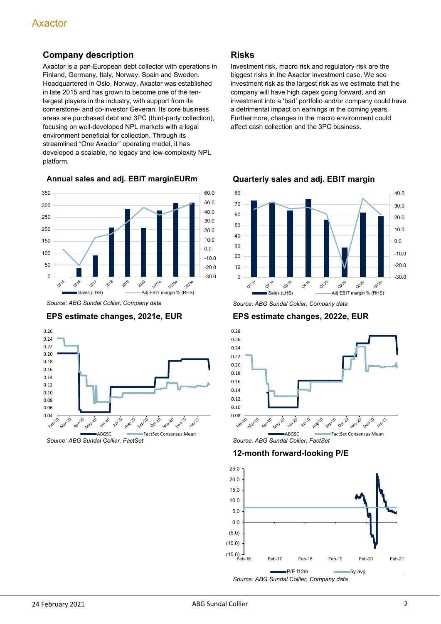# **Company description**

Axactor is a pan-European debt collector with operations in Finland, Germany, Italy, Norway, Spain and Sweden. Headquartered in Oslo, Norway, Axactor was established in late 2015 and has grown to become one of the tenlargest players in the industry, with support from its cornerstone- and co-investor Geveran. Its core business areas are purchased debt and 3PC (third-party collection), focusing on well-developed NPL markets with a legal environment beneficial for collection. Through its streamlined "One Axactor" operating model, it has developed a scalable, no legacy and low-complexity NPL platform.

**Annual sales and adj. EBIT marginEURm**



*Source: ABG Sundal Collier, Company data*

# **EPS estimate changes, 2021e, EUR**



**Risks**

Investment risk, macro risk and regulatory risk are the biggest risks in the Axactor investment case. We see investment risk as the largest risk as we estimate that the company will have high capex going forward, and an investment into a 'bad' portfolio and/or company could have a detrimental impact on earnings in the coming years. Furthermore, changes in the macro environment could affect cash collection and the 3PC business.



**Quarterly sales and adj. EBIT margin**

*Source: ABG Sundal Collier, Company data*

**EPS estimate changes, 2022e, EUR**



**12-month forward-looking P/E**

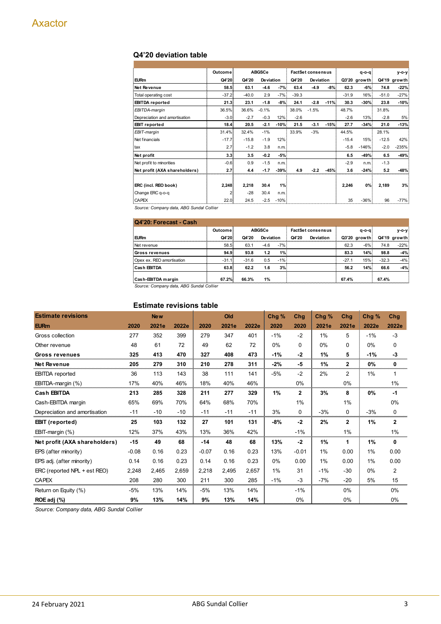# **Q4'20 deviation table**

|                               | Outcome |         | <b>ABGSCe</b> |        |         | <b>FactSet consensus</b> |        |         | $q - q$      |         | y-o-y        |
|-------------------------------|---------|---------|---------------|--------|---------|--------------------------|--------|---------|--------------|---------|--------------|
| <b>EURm</b>                   | Q4'20   | Q4'20   | Deviation     |        | Q4'20   | Deviation                |        |         | Q3'20 growth |         | Q4'19 growth |
| Net Revenue                   | 58.5    | 63.1    | $-4.6$        | $-7%$  | 63.4    | $-4.9$                   | $-8%$  | 62.3    | $-6%$        | 74.8    | $-22%$       |
| Total operating cost          | $-37.2$ | $-40.0$ | 2.9           | $-7%$  | $-39.3$ |                          |        | $-31.9$ | 16%          | $-51.0$ | $-27%$       |
| <b>EBITDA</b> reported        | 21.3    | 23.1    | $-1.8$        | $-8%$  | 24.1    | $-2.8$                   | $-11%$ | 30.3    | $-30%$       | 23.8    | $-10%$       |
| EBITDA-margin                 | 36.5%   | 36.6%   | $-0.1%$       |        | 38.0%   | $-1.5%$                  |        | 48.7%   |              | 31.8%   |              |
| Depreciation and amortisation | $-3.0$  | $-2.7$  | $-0.3$        | 12%    | $-2.6$  |                          |        | $-2.6$  | 13%          | $-2.8$  | 5%           |
| <b>EBIT</b> reported          | 18.4    | 20.5    | $-2.1$        | $-10%$ | 21.5    | $-3.1$                   | $-15%$ | 27.7    | $-34%$       | 21.0    | $-13%$       |
| EBIT-margin                   | 31.4%   | 32.4%   | $-1%$         |        | 33.9%   | $-3%$                    |        | 44.5%   |              | 28.1%   |              |
| Net financials                | $-17.7$ | $-15.8$ | $-1.9$        | 12%    |         |                          |        | $-15.4$ | 15%          | $-12.5$ | 42%          |
| tax                           | 2.7     | $-1.2$  | 3.8           | n.m.   |         |                          |        | $-5.8$  | $-146%$      | $-2.0$  | $-235%$      |
| Net profit                    | 3.3     | 3.5     | $-0.2$        | $-5%$  |         |                          |        | 6.5     | $-49%$       | 6.5     | $-49%$       |
| Net profit to minorities      | $-0.6$  | 0.9     | $-1.5$        | n.m.   |         |                          |        | $-2.9$  | n.m.         | $-1.3$  |              |
| Net profit (AXA shareholders) | 2.7     | 4.4     | $-1.7$        | $-39%$ | 4.9     | $-2.2$                   | -45%   | 3.6     | $-24%$       | 5.2     | $-48%$       |
|                               |         |         |               |        |         |                          |        |         |              |         |              |
| ERC (incl. REO book)          | 2,248   | 2,218   | 30.4          | 1%     |         |                          |        | 2,246   | 0%           | 2,189   | 3%           |
| Change ERC q-o-q              | 2       | $-28$   | 30.4          | n.m.   |         |                          |        |         |              |         |              |
| CAPEX                         | 22.0    | 24.5    | $-2.5$        | $-10%$ |         |                          |        | 35      | $-36%$       | 96      | $-77%$       |

*Source: Company data, ABG Sundal Collier*

| Q4'20: Forecast - Cash                   |         |               |           |                          |       |             |         |              |         |                |  |  |
|------------------------------------------|---------|---------------|-----------|--------------------------|-------|-------------|---------|--------------|---------|----------------|--|--|
|                                          | Outcome | <b>ABGSCe</b> |           | <b>FactSet consensus</b> |       | $q - o - q$ |         | $V-O-V$      |         |                |  |  |
| EURm                                     | Q4'20   | Q4'20         | Deviation |                          | Q4'20 | Deviation   |         | Q3'20 growth |         | $Q4'19$ growth |  |  |
| Net revenue                              | 58.5    | 63.1          | $-4.6$    | $-7%$                    |       |             | 62.3    | $-6%$        | 74.8    | $-22%$         |  |  |
| Gross revenues                           | 94.9    | 93.8          | 1.2       | 1%                       |       |             | 83.3    | 14%          | 98.8    | $-4%$          |  |  |
| Opex ex. REO amortisation                | $-31.1$ | $-31.6$       | 0.5       | $-1%$                    |       |             | $-27.1$ | 15%          | $-32.3$ | $-4%$          |  |  |
| Cash EBITDA                              | 63.8    | 62.2          | 1.6       | 3%                       |       |             | 56.2    | 14%          | 66.6    | $-4%$          |  |  |
| Cash-EBITDA margin                       | 67.2%   | 66.3%         | 1%        |                          |       |             | 67.4%   |              | 67.4%   |                |  |  |
| Source: Company data, ABG Sundal Collier |         |               |           |                          |       |             |         |              |         |                |  |  |

# **Estimate revisions table**

| Lournald Tevisions table      |         |            |       |         |       |       |       |              |       |              |       |              |
|-------------------------------|---------|------------|-------|---------|-------|-------|-------|--------------|-------|--------------|-------|--------------|
| <b>Estimate revisions</b>     |         | <b>New</b> |       |         | Old   |       | Chg % | Chg          | Chg % | Chg          | Chg % | Chg          |
| <b>EURm</b>                   | 2020    | 2021e      | 2022e | 2020    | 2021e | 2022e | 2020  | 2020         | 2021e | 2021e        | 2022e | 2022e        |
| Gross collection              | 277     | 352        | 399   | 279     | 347   | 401   | $-1%$ | $-2$         | 1%    | 5            | $-1%$ | $-3$         |
| Other revenue                 | 48      | 61         | 72    | 49      | 62    | 72    | 0%    | $\Omega$     | 0%    | 0            | 0%    | 0            |
| Gross revenues                | 325     | 413        | 470   | 327     | 408   | 473   | $-1%$ | $-2$         | 1%    | 5            | $-1%$ | $-3$         |
| <b>Net Revenue</b>            | 205     | 279        | 310   | 210     | 278   | 311   | $-2%$ | -5           | 1%    | $\mathbf{2}$ | 0%    | 0            |
| <b>EBITDA</b> reported        | 36      | 113        | 143   | 38      | 111   | 141   | $-5%$ | $-2$         | 2%    | 2            | 1%    | $\mathbf{1}$ |
| EBITDA-margin (%)             | 17%     | 40%        | 46%   | 18%     | 40%   | 46%   |       | 0%           |       | 0%           |       | 1%           |
| <b>Cash EBITDA</b>            | 213     | 285        | 328   | 211     | 277   | 329   | 1%    | $\mathbf{2}$ | 3%    | 8            | 0%    | $-1$         |
| Cash-EBITDA margin            | 65%     | 69%        | 70%   | 64%     | 68%   | 70%   |       | 1%           |       | 1%           |       | 0%           |
| Depreciation and amortisation | $-11$   | $-10$      | $-10$ | $-11$   | $-11$ | $-11$ | 3%    | $\Omega$     | $-3%$ | $\Omega$     | $-3%$ | 0            |
| <b>EBIT</b> (reported)        | 25      | 103        | 132   | 27      | 101   | 131   | -8%   | $-2$         | 2%    | $\mathbf{2}$ | 1%    | $\mathbf{2}$ |
| EBIT-margin $(\%)$            | 12%     | 37%        | 43%   | 13%     | 36%   | 42%   |       | $-1%$        |       | 1%           |       | 1%           |
| Net profit (AXA shareholders) | $-15$   | 49         | 68    | $-14$   | 48    | 68    | 13%   | $-2$         | 1%    | 1            | 1%    | 0            |
| EPS (after minority)          | $-0.08$ | 0.16       | 0.23  | $-0.07$ | 0.16  | 0.23  | 13%   | $-0.01$      | 1%    | 0.00         | 1%    | 0.00         |
| EPS adj. (after minority)     | 0.14    | 0.16       | 0.23  | 0.14    | 0.16  | 0.23  | 0%    | 0.00         | 1%    | 0.00         | 1%    | 0.00         |
| ERC (reported NPL + est REO)  | 2,248   | 2,465      | 2,659 | 2,218   | 2,495 | 2,657 | 1%    | 31           | $-1%$ | $-30$        | 0%    | 2            |
| <b>CAPEX</b>                  | 208     | 280        | 300   | 211     | 300   | 285   | $-1%$ | $-3$         | $-7%$ | $-20$        | 5%    | 15           |
| Return on Equity (%)          | $-5%$   | 13%        | 14%   | $-5%$   | 13%   | 14%   |       | $-1%$        |       | 0%           |       | 0%           |
| ROE adj (%)                   | 9%      | 13%        | 14%   | 9%      | 13%   | 14%   |       | 0%           |       | 0%           |       | 0%           |

*Source: Company data, ABG Sundal Collier*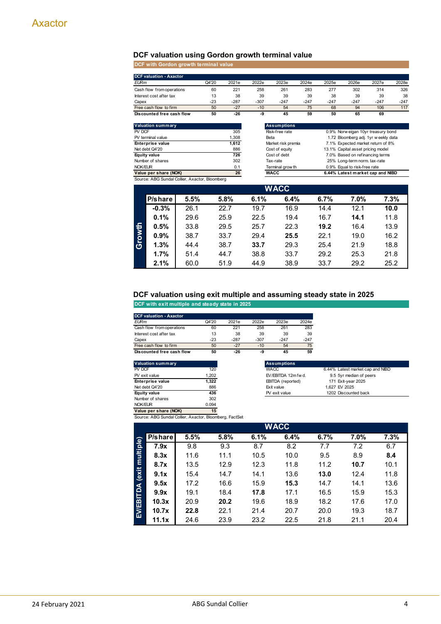# **DCF valuation using Gordon growth terminal value**

**DCF with Gordon growth terminal value**

|                          | <b>DCF valuation - Axactor</b>                 |      |       |              |                                                         |                    |        |        |                                                                      |        |        |  |  |
|--------------------------|------------------------------------------------|------|-------|--------------|---------------------------------------------------------|--------------------|--------|--------|----------------------------------------------------------------------|--------|--------|--|--|
| <b>EURm</b>              |                                                |      | Q4'20 | 2021e        | 2022e                                                   | 2023e              | 2024e  | 2025e  | 2026e                                                                | 2027e  | 2028e  |  |  |
|                          | Cash flow from operations                      |      | 60    | 221          | 258                                                     | 261                | 283    | 277    | 302                                                                  | 314    | 326    |  |  |
|                          | Interest cost after tax                        |      | 13    | 38           | 39                                                      | 39                 | 39     | 38     | 39                                                                   | 39     | 38     |  |  |
| Capex                    |                                                |      | $-23$ | $-287$       | $-307$                                                  | $-247$             | $-247$ | $-247$ | $-247$                                                               | $-247$ | $-247$ |  |  |
|                          | Free cash flow to firm                         |      | 50    | $-27$        | $-10$                                                   | 54                 | 75     | 68     | 94                                                                   | 106    | 117    |  |  |
|                          | Discounted free cash flow<br>50                |      | $-26$ | -9           | 45                                                      | 59                 | 50     | 65     | 69                                                                   |        |        |  |  |
| <b>Valuation summary</b> |                                                |      |       |              |                                                         | <b>Assumptions</b> |        |        |                                                                      |        |        |  |  |
| PV DCF                   |                                                |      |       | 305          |                                                         | Risk-free rate     |        |        | 0.9% Norw eigan 10yr treasury bond                                   |        |        |  |  |
|                          | PV terminal value                              |      |       | 1,308        | 1.72 Bloomberg adj. 1yr w eekly data<br>Beta            |                    |        |        |                                                                      |        |        |  |  |
|                          | Enterprise value<br>Net debt Q4'20             |      |       | 1,612<br>886 | Market risk premia<br>7.1% Expected market return of 8% |                    |        |        |                                                                      |        |        |  |  |
|                          | Equity value                                   |      |       | 726          | Cost of equity<br>Cost of debt                          |                    |        |        | 13.1% Capital asset pricing model<br>7.0% Based on refinancing terms |        |        |  |  |
| 302<br>Number of shares  |                                                |      |       |              |                                                         | Tax-rate           |        |        | 25% Long-term norm. tax-rate                                         |        |        |  |  |
| NOK/EUR<br>0.1           |                                                |      |       |              |                                                         | Terminal grow th   |        |        | 0.9% Equal to risk-free rate                                         |        |        |  |  |
|                          | Value per share (NOK)                          |      |       | 26           |                                                         | <b>WACC</b>        |        |        | 6.44% Latest market cap and NIBD                                     |        |        |  |  |
|                          | Source: ABG Sundal Collier, Axactor, Bloomberg |      |       |              |                                                         |                    |        |        |                                                                      |        |        |  |  |
|                          |                                                |      |       |              |                                                         | WACC               |        |        |                                                                      |        |        |  |  |
|                          | P/share                                        | 5.5% |       | 5.8%         | 6.1%                                                    | 6.4%               |        | 6.7%   | 7.0%                                                                 |        | 7.3%   |  |  |
|                          | $-0.3%$                                        | 26.1 |       | 22.7         | 19.7                                                    | 16.9               |        | 14.4   | 12.1                                                                 |        | 10.0   |  |  |
|                          | 0.1%                                           | 29.6 |       | 25.9         | 22.5                                                    | 19.4               |        | 16.7   | 14.1                                                                 |        | 11.8   |  |  |
|                          | 0.5%                                           | 33.8 |       | 29.5         | 25.7                                                    | 22.3               |        | 19.2   | 16.4                                                                 |        | 13.9   |  |  |
| Growth                   | 0.9%                                           | 38.7 |       | 33.7         | 29.4                                                    | 25.5               |        | 22.1   | 19.0                                                                 |        | 16.2   |  |  |
|                          | 1.3%                                           | 44.4 |       | 38.7         | 33.7                                                    | 29.3               |        | 25.4   | 21.9                                                                 |        | 18.8   |  |  |
|                          | 1.7%                                           | 51.4 |       | 44.7         | 38.8                                                    | 33.7               |        | 29.2   | 25.3                                                                 |        | 21.8   |  |  |
|                          | 2.1%                                           | 60.0 |       | 51.9         | 44.9                                                    | 38.9               |        | 33.7   | 29.2                                                                 |        | 25.2   |  |  |

#### **DCF valuation using exit multiple and assuming steady state in 2025**

**DCF with exit multiple and steady state in 2025**

| <b>DCF valuation - Axactor</b> |       |        |        |        |        |
|--------------------------------|-------|--------|--------|--------|--------|
| <b>EURm</b>                    | Q4'20 | 2021e  | 2022e  | 2023e  | 2024e  |
| Cash flow from operations      | 60    | 221    | 258    | 261    | 283    |
| Interest cost after tax        | 13    | 38     | 39     | 39     | 39     |
| Capex                          | $-23$ | $-287$ | $-307$ | $-247$ | $-247$ |
| Free cash flow to firm         | 50    | $-27$  | $-10$  | 54     | 75     |
| Discounted free cash flow      | 50    | -26    | -9     | 45     | 59     |

| Valuation summary       |       | <b>Assumptions</b>  |                                  |
|-------------------------|-------|---------------------|----------------------------------|
| PV DCF                  | 120   | <b>WACC</b>         | 6.44% Latest market cap and NIBD |
| PV exit value           | 1.202 | EV/EBITDA 12m fw d. | 9.5 5yr median of peers          |
| <b>Enterprise value</b> | 1.322 | EBITDA (reported)   | 171 Exit-year 2025               |
| Net debt Q4'20          | 886   | Exit value          | 1.627 EV 2025                    |
| Equity value            | 436   | PV exit value       | 1202 Discounted back             |
| Number of shares        | 302   |                     |                                  |
| NOK/EUR                 | 0.094 |                     |                                  |
| Value ner share (NOK)   | 15    |                     |                                  |

**Value per share (NOK) 15**

|                           | Source: ABG Sundal Collier, Axactor, Bloomberg, FactSet |      |      |      |             |      |      |      |  |  |  |  |
|---------------------------|---------------------------------------------------------|------|------|------|-------------|------|------|------|--|--|--|--|
|                           |                                                         |      |      |      | <b>WACC</b> |      |      |      |  |  |  |  |
|                           | P/share                                                 | 5.5% | 5.8% | 6.1% | 6.4%        | 6.7% | 7.0% | 7.3% |  |  |  |  |
|                           | 7.9x                                                    | 9.8  | 9.3  | 8.7  | 8.2         | 7.7  | 7.2  | 6.7  |  |  |  |  |
|                           | 8.3x                                                    | 11.6 | 11.1 | 10.5 | 10.0        | 9.5  | 8.9  | 8.4  |  |  |  |  |
| EV/EBITDA (exit multiple) | 8.7x                                                    | 13.5 | 12.9 | 12.3 | 11.8        | 11.2 | 10.7 | 10.1 |  |  |  |  |
|                           | 9.1x                                                    | 15.4 | 14.7 | 14.1 | 13.6        | 13.0 | 12.4 | 11.8 |  |  |  |  |
|                           | 9.5x                                                    | 17.2 | 16.6 | 15.9 | 15.3        | 14.7 | 14.1 | 13.6 |  |  |  |  |
|                           | 9.9x                                                    | 19.1 | 18.4 | 17.8 | 17.1        | 16.5 | 15.9 | 15.3 |  |  |  |  |
|                           | 10.3x                                                   | 20.9 | 20.2 | 19.6 | 18.9        | 18.2 | 17.6 | 17.0 |  |  |  |  |
|                           | 10.7x                                                   | 22.8 | 22.1 | 21.4 | 20.7        | 20.0 | 19.3 | 18.7 |  |  |  |  |
|                           | 11.1x                                                   | 24.6 | 23.9 | 23.2 | 22.5        | 21.8 | 21.1 | 20.4 |  |  |  |  |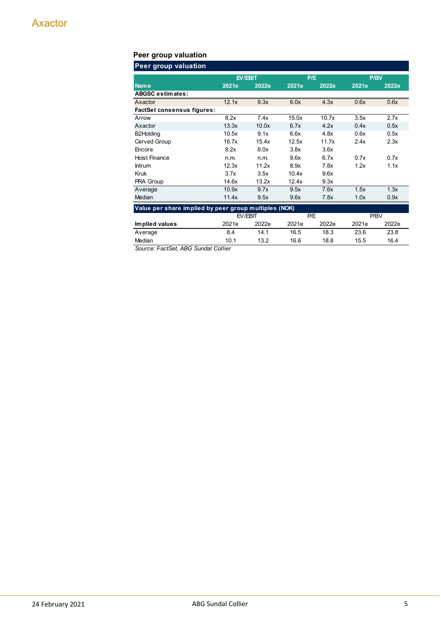# **Peer group valuation**

| <b>Peer group valuation</b>                           |       |         |       |       |       |       |  |
|-------------------------------------------------------|-------|---------|-------|-------|-------|-------|--|
|                                                       |       | EV/EBIT |       | P/E   | P/BV  |       |  |
| <b>Name</b>                                           | 2021e | 2022e   | 2021e | 2022e | 2021e | 2022e |  |
| <b>ABGSC estimates:</b>                               |       |         |       |       |       |       |  |
| Axactor                                               | 12.1x | 9.3x    | 6.0x  | 4.3x  | 0.6x  | 0.6x  |  |
| <b>FactSet consensus figures:</b>                     |       |         |       |       |       |       |  |
| Arrow                                                 | 8.2x  | 7.4x    | 15.0x | 10.7x | 3.5x  | 2.7x  |  |
| Axactor                                               | 13.3x | 10.0x   | 6.7x  | 4.2x  | 0.4x  | 0.5x  |  |
| B2Holding                                             | 10.5x | 9.1x    | 6.6x  | 4.8x  | 0.6x  | 0.5x  |  |
| Cerved Group                                          | 16.7x | 15.4x   | 12.5x | 11.7x | 2.4x  | 2.3x  |  |
| Encore                                                | 8.2x  | 8.0x    | 3.8x  | 3.6x  |       |       |  |
| <b>Hoist Finance</b>                                  | n.m.  | n.m.    | 9.6x  | 6.7x  | 0.7x  | 0.7x  |  |
| Intrum                                                | 12.3x | 11.2x   | 8.9x  | 7.8x  | 1.2x  | 1.1x  |  |
| Kruk                                                  | 3.7x  | 3.5x    | 10.4x | 9.6x  |       |       |  |
| PRA Group                                             | 14.6x | 13.2x   | 12.4x | 9.3x  |       |       |  |
| Average                                               | 10.9x | 9.7x    | 9.5x  | 7.6x  | 1.5x  | 1.3x  |  |
| Median                                                | 11.4x | 9.5x    | 9.6x  | 7.8x  | 1.0x  | 0.9x  |  |
| Value per share implied by peer group multiples (NOK) |       |         |       |       |       |       |  |
|                                                       |       | EV/EBIT |       | P/E   |       | P/BV  |  |
| Implied values                                        | 2021e | 2022e   | 2021e | 2022e | 2021e | 2022e |  |
| Average                                               | 8.4   | 14.1    | 16.5  | 18.3  | 23.6  | 23.8  |  |
| Median                                                | 10.1  | 13.2    | 16.6  | 18.8  | 15.5  | 16.4  |  |

*Source: FactSet, ABG Sundal Collier*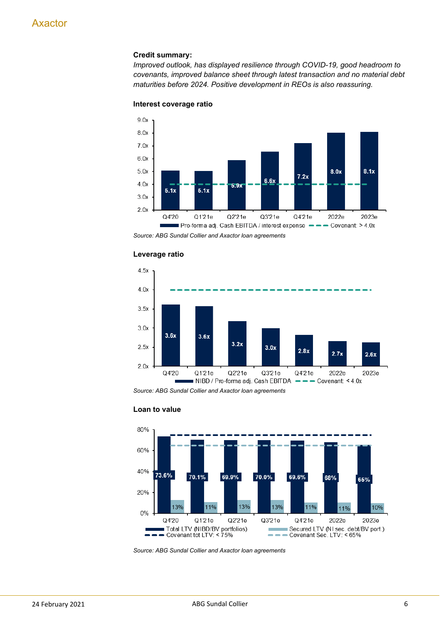# **Credit summary:**

*Improved outlook, has displayed resilience through COVID-19, good headroom to covenants, improved balance sheet through latest transaction and no material debt maturities before 2024. Positive development in REOs is also reassuring.*



#### **Interest coverage ratio**

*Source: ABG Sundal Collier and Axactor loan agreements*



#### **Leverage ratio**

*Source: ABG Sundal Collier and Axactor loan agreements*



#### **Loan to value**

*Source: ABG Sundal Collier and Axactor loan agreements*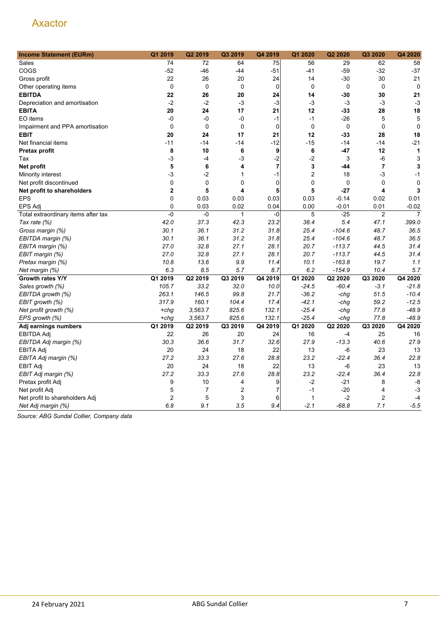| <b>Income Statement (EURm)</b>      | Q1 2019        | Q2 2019        | Q3 2019        | Q4 2019        | Q1 2020          | Q2 2020     | Q3 2020        | Q4 2020        |
|-------------------------------------|----------------|----------------|----------------|----------------|------------------|-------------|----------------|----------------|
| Sales                               | 74             | 72             | 64             | 75             | 56               | 29          | 62             | 58             |
| COGS                                | $-52$          | $-46$          | -44            | $-51$          | $-41$            | $-59$       | $-32$          | $-37$          |
| Gross profit                        | 22             | 26             | 20             | 24             | 14               | -30         | 30             | 21             |
| Other operating items               | $\mathbf 0$    | $\mathbf 0$    | $\mathbf 0$    | $\mathbf 0$    | $\mathbf 0$      | $\mathbf 0$ | $\mathbf 0$    | $\mathbf 0$    |
| <b>EBITDA</b>                       | 22             | 26             | 20             | 24             | 14               | $-30$       | 30             | 21             |
| Depreciation and amortisation       | $-2$           | $-2$           | $-3$           | $-3$           | $-3$             | $-3$        | $-3$           | $-3$           |
| <b>EBITA</b>                        | 20             | 24             | 17             | 21             | 12               | $-33$       | 28             | 18             |
| EO items                            | -0             | -0             | -0             | $-1$           | $-1$             | $-26$       | 5              | 5              |
| Impairment and PPA amortisation     | $\mathbf 0$    | 0              | $\mathbf 0$    | $\mathbf 0$    | $\mathbf 0$      | $\mathbf 0$ | $\mathbf 0$    | $\mathbf 0$    |
| <b>EBIT</b>                         | 20             | 24             | 17             | 21             | 12               | $-33$       | 28             | 18             |
| Net financial items                 | $-11$          | $-14$          | $-14$          | $-12$          | $-15$            | $-14$       | $-14$          | $-21$          |
| Pretax profit                       | 8              | 10             | 6              | 9              | 6                | $-47$       | 12             | 1              |
| Tax                                 | $-3$           | $-4$           | -3             | $-2$           | $-2$             | 3           | $-6$           | 3              |
| Net profit                          | 5              | 6              | 4              | $\overline{7}$ | 3                | -44         | $\overline{7}$ | 3              |
| Minority interest                   | $-3$           | $-2$           | 1              | $-1$           | $\boldsymbol{2}$ | 18          | $-3$           | $-1$           |
| Net profit discontinued             | 0              | $\pmb{0}$      | 0              | $\mathbf 0$    | $\boldsymbol{0}$ | $\mathbf 0$ | $\mathbf 0$    | $\mathbf 0$    |
| Net profit to shareholders          | $\mathbf 2$    | 5              | 4              | 5              | 5                | $-27$       | 4              | 3              |
| <b>EPS</b>                          | $\mathbf 0$    | 0.03           | 0.03           | 0.03           | 0.03             | $-0.14$     | 0.02           | 0.01           |
| <b>EPS Adj</b>                      | $\mathbf 0$    | 0.03           | 0.02           | 0.04           | 0.00             | $-0.01$     | 0.01           | $-0.02$        |
| Total extraordinary items after tax | $-0$           | -0             | 1              | $-0$           | 5                | $-25$       | $\overline{2}$ | $\overline{7}$ |
| Tax rate (%)                        | 42.0           | 37.3           | 42.3           | 23.2           | 38.4             | 5.4         | 47.1           | 399.0          |
| Gross margin (%)                    | 30.1           | 36.1           | 31.2           | 31.8           | 25.4             | $-104.6$    | 48.7           | 36.5           |
| EBITDA margin (%)                   | 30.1           | 36.1           | 31.2           | 31.8           | 25.4             | $-104.6$    | 48.7           | 36.5           |
| EBITA margin (%)                    | 27.0           | 32.8           | 27.1           | 28.1           | 20.7             | $-113.7$    | 44.5           | 31.4           |
| EBIT margin (%)                     | 27.0           | 32.8           | 27.1           | 28.1           | 20.7             | $-113.7$    | 44.5           | 31.4           |
| Pretax margin (%)                   | 10.8           | 13.6           | 9.9            | 11.4           | 10.1             | $-163.8$    | 19.7           | 1.1            |
| Net margin (%)                      | 6.3            | 8.5            | 5.7            | 8.7            | 6.2              | $-154.9$    | 10.4           | 5.7            |
| Growth rates Y/Y                    | Q1 2019        | Q2 2019        | Q3 2019        | Q4 2019        | Q1 2020          | Q2 2020     | Q3 2020        | Q4 2020        |
| Sales growth (%)                    | 105.7          | 33.2           | 32.0           | 10.0           | $-24.5$          | $-60.4$     | $-3.1$         | $-21.8$        |
| EBITDA growth (%)                   | 263.1          | 146.5          | 99.8           | 21.7           | $-36.2$          | -chg        | 51.5           | $-10.4$        |
| EBIT growth (%)                     | 317.9          | 160.1          | 104.4          | 17.4           | $-42.1$          | -chg        | 59.2           | $-12.5$        |
| Net profit growth (%)               | $+chg$         | 3,563.7        | 825.6          | 132.1          | $-25.4$          | -chg        | 77.8           | $-48.9$        |
| EPS growth (%)                      | $+chg$         | 3,563.7        | 825.6          | 132.1          | $-25.4$          | -chg        | 77.8           | $-48.9$        |
| Adj earnings numbers                | Q1 2019        | Q2 2019        | Q3 2019        | Q4 2019        | Q1 2020          | Q2 2020     | Q3 2020        | Q4 2020        |
| <b>EBITDA Adj</b>                   | 22             | 26             | 20             | 24             | 16               | -4          | 25             | 16             |
| EBITDA Adj margin (%)               | 30.3           | 36.6           | 31.7           | 32.6           | 27.9             | $-13.3$     | 40.6           | 27.9           |
| <b>EBITA Adj</b>                    | 20             | 24             | 18             | 22             | 13               | -6          | 23             | 13             |
| EBITA Adj margin (%)                | 27.2           | 33.3           | 27.6           | 28.8           | 23.2             | $-22.4$     | 36.4           | 22.8           |
| <b>EBIT Adj</b>                     | 20             | 24             | 18             | 22             | 13               | $-6$        | 23             | 13             |
| EBIT Adj margin (%)                 | 27.2           | 33.3           | 27.6           | 28.8           | 23.2             | $-22.4$     | 36.4           | 22.8           |
| Pretax profit Adj                   | 9              | 10             | 4              | 9              | $-2$             | $-21$       | 8              | -8             |
| Net profit Adj                      | 5              | $\overline{7}$ | $\overline{2}$ | 7              | $-1$             | $-20$       | 4              | $-3$           |
| Net profit to shareholders Adj      | $\overline{2}$ | 5              | 3              | 6              | 1                | $-2$        | $\overline{2}$ | $-4$           |
| Net Adj margin (%)                  | 6.8            | 9.1            | 3.5            | 9.4            | $-2.1$           | $-68.8$     | 7.1            | $-5.5$         |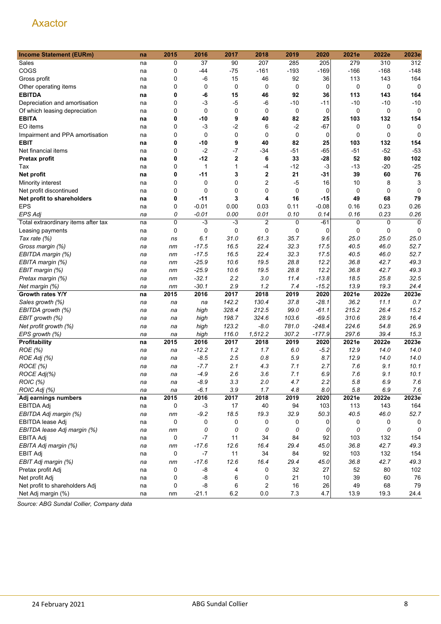| <b>Income Statement (EURm)</b>      | na | 2015        | 2016               | 2017             | 2018                   | 2019         | 2020          | 2021e  | 2022e        | 2023e               |
|-------------------------------------|----|-------------|--------------------|------------------|------------------------|--------------|---------------|--------|--------------|---------------------|
| Sales                               | na | 0           | 37                 | 90               | 207                    | 285          | 205           | 279    | 310          | 312                 |
| COGS                                | na | 0           | -44                | $-75$            | $-161$                 | $-193$       | $-169$        | $-166$ | $-168$       | $-148$              |
| Gross profit                        | na | 0           | $-6$               | 15               | 46                     | 92           | 36            | 113    | 143          | 164                 |
| Other operating items               | na | $\mathbf 0$ | 0                  | 0                | 0                      | 0            | 0             | 0      | 0            | 0                   |
| <b>EBITDA</b>                       | na | 0           | -6                 | 15               | 46                     | 92           | 36            | 113    | 143          | 164                 |
| Depreciation and amortisation       | na | 0           | -3                 | $-5$             | $-6$                   | $-10$        | -11           | $-10$  | $-10$        | $-10$               |
| Of which leasing depreciation       | na | 0           | $\mathbf 0$        | 0                | 0                      | 0            | 0             | 0      | 0            | 0                   |
| <b>EBITA</b>                        | na | 0           | -10                | 9                | 40                     | 82           | 25            | 103    | 132          | 154                 |
| EO items                            | na | $\mathbf 0$ | $-3$               | $-2$             | 6                      | $-2$         | $-67$         | 0      | 0            | 0                   |
| Impairment and PPA amortisation     | na | 0           | 0                  | 0                | $\mathbf 0$            | 0            | 0             | 0      | 0            | 0                   |
| <b>EBIT</b>                         | na | 0           | -10                | 9                | 40                     | 82           | 25            | 103    | 132          | 154                 |
| Net financial items                 | na | 0           | $-2$               | $-7$             | $-34$                  | $-51$        | -65           | $-51$  | $-52$        | $-53$               |
| Pretax profit                       | na | 0           | $-12$              | $\boldsymbol{2}$ | 6                      | 33           | $-28$         | 52     | 80           | 102                 |
| Tax                                 | na | $\mathbf 0$ | 1                  | 1                | -4                     | $-12$        | $-3$          | $-13$  | $-20$        | $-25$               |
| Net profit                          | na | 0           | -11                | 3                | $\mathbf 2$            | 21           | $-31$         | 39     | 60           | 76                  |
| Minority interest                   | na | 0           | 0                  | 0                | 2                      | $-5$         | 16            | 10     | 8            | 3                   |
| Net profit discontinued             |    | 0           | 0                  | 0                | 0                      | 0            | 0             | 0      | 0            | $\Omega$            |
| Net profit to shareholders          | na | 0           | $-11$              | 3                | 4                      | 16           | -15           | 49     | 68           | 79                  |
| <b>EPS</b>                          | na | 0           |                    |                  |                        |              | $-0.08$       |        |              |                     |
|                                     | na |             | $-0.01$<br>$-0.01$ | 0.00<br>0.00     | 0.03                   | 0.11<br>0.10 |               | 0.16   | 0.23<br>0.23 | 0.26                |
| <b>EPS Adj</b>                      | na | 0<br>0      | $-3$               | $-3$             | 0.01<br>$\overline{2}$ |              | 0.14<br>$-61$ | 0.16   |              | 0.26<br>$\mathbf 0$ |
| Total extraordinary items after tax | na |             |                    |                  |                        | 0            |               | 0      | 0            |                     |
| Leasing payments                    | na | 0           | 0                  | 0                | 0                      | 0            | 0             | 0      | 0            | $\mathbf 0$         |
| Tax rate (%)                        | na | ns          | 6.1                | 31.0             | 61.3                   | 35.7         | 9.6           | 25.0   | 25.0         | 25.0                |
| Gross margin (%)                    | na | nm          | $-17.5$            | 16.5             | 22.4                   | 32.3         | 17.5          | 40.5   | 46.0         | 52.7                |
| EBITDA margin (%)                   | na | nm          | $-17.5$            | 16.5             | 22.4                   | 32.3         | 17.5          | 40.5   | 46.0         | 52.7                |
| EBITA margin (%)                    | na | nm          | $-25.9$            | 10.6             | 19.5                   | 28.8         | 12.2          | 36.8   | 42.7         | 49.3                |
| EBIT margin (%)                     | na | nm          | $-25.9$            | 10.6             | 19.5                   | 28.8         | 12.2          | 36.8   | 42.7         | 49.3                |
| Pretax margin (%)                   | na | nm          | $-32.1$            | 2.2              | 3.0                    | 11.4         | $-13.8$       | 18.5   | 25.8         | 32.5                |
| Net margin (%)                      | na | nm          | $-30.1$            | 2.9              | 1.2                    | 7.4          | $-15.2$       | 13.9   | 19.3         | 24.4                |
| Growth rates Y/Y                    | na | 2015        | 2016               | 2017             | 2018                   | 2019         | 2020          | 2021e  | 2022e        | 2023e               |
| Sales growth (%)                    | na | na          | na                 | 142.2            | 130.4                  | 37.8         | $-28.1$       | 36.2   | 11.1         | 0.7                 |
| EBITDA growth (%)                   | na | na          | high               | 328.4            | 212.5                  | 99.0         | $-61.1$       | 215.2  | 26.4         | 15.2                |
| EBIT growth (%)                     | na | na          | high               | 198.7            | 324.6                  | 103.6        | $-69.5$       | 310.6  | 28.9         | 16.4                |
| Net profit growth (%)               | na | na          | high               | 123.2            | $-8.0$                 | 781.0        | $-248.4$      | 224.6  | 54.8         | 26.9                |
| EPS growth (%)                      | na | na          | high               | 116.0            | 1,512.2                | 307.2        | $-177.9$      | 297.6  | 39.4         | 15.3                |
| Profitability                       | na | 2015        | 2016               | 2017             | 2018                   | 2019         | 2020          | 2021e  | 2022e        | 2023e               |
| ROE (%)                             | na | na          | $-12.2$            | 1.2              | 1.7                    | 6.0          | $-5.2$        | 12.9   | 14.0         | 14.0                |
| ROE Adj (%)                         | na | na          | $-8.5$             | 2.5              | 0.8                    | 5.9          | 8.7           | 12.9   | 14.0         | 14.0                |
| ROCE (%)                            | na | na          | $-7.7$             | 2.1              | 4.3                    | 7.1          | 2.7           | 7.6    | 9.1          | 10.1                |
| ROCE Adj(%)                         | na | na          | $-4.9$             | 2.6              | 3.6                    | 7.1          | 6.9           | 7.6    | 9.1          | 10.1                |
| ROIC (%)                            | na | na          | $-8.9$             | 3.3              | 2.0                    | 4.7          | 2.2           | 5.8    | $6.9\,$      | 7.6                 |
| ROIC Adj (%)                        | na | na          | $-6.1$             | 3.9              | 1.7                    | 4.8          | 8.0           | 5.8    | 6.9          | 7.6                 |
| Adj earnings numbers                | na | 2015        | 2016               | 2017             | 2018                   | 2019         | 2020          | 2021e  | 2022e        | 2023e               |
| <b>EBITDA Adj</b>                   | na | 0           | $-3$               | 17               | 40                     | 94           | 103           | 113    | 143          | 164                 |
| EBITDA Adj margin (%)               | na | nm          | $-9.2$             | 18.5             | 19.3                   | 32.9         | 50.3          | 40.5   | 46.0         | 52.7                |
| EBITDA lease Adj                    | na | 0           | 0                  | $\mathbf 0$      | 0                      | 0            | 0             | 0      | 0            | 0                   |
| EBITDA lease Adj margin (%)         | na | nm          | 0                  | 0                | 0                      | 0            | 0             | 0      | 0            | 0                   |
| EBITA Adj                           | na | 0           | -7                 | 11               | 34                     | 84           | 92            | 103    | 132          | 154                 |
| EBITA Adj margin (%)                | na | nm          | $-17.6$            | 12.6             | 16.4                   | 29.4         | 45.0          | 36.8   | 42.7         | 49.3                |
| <b>EBIT Adj</b>                     | na | 0           | $-7$               | 11               | 34                     | 84           | 92            | 103    | 132          | 154                 |
| EBIT Adj margin (%)                 | na | nm          | $-17.6$            | 12.6             | 16.4                   | 29.4         | 45.0          | 36.8   | 42.7         | 49.3                |
| Pretax profit Adj                   | na | 0           | -8                 | 4                | 0                      | 32           | 27            | 52     | 80           | 102                 |
| Net profit Adj                      | na | 0           | -8                 | 6                | 0                      | 21           | 10            | 39     | 60           | 76                  |
| Net profit to shareholders Adj      | na | 0           | -8                 | 6                | 2                      | 16           | 26            | 49     | 68           | 79                  |
| Net Adj margin (%)                  | na | nm          | $-21.1$            | $6.2\,$          | $0.0\,$                | $7.3$        | 4.7           | 13.9   | 19.3         | 24.4                |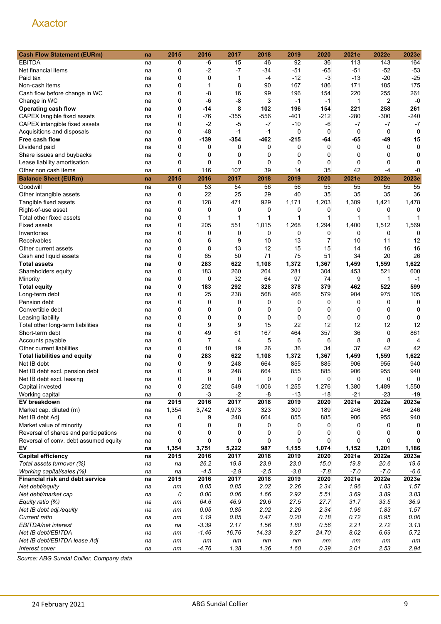| <b>Cash Flow Statement (EURm)</b>     | na | 2015     | 2016        | 2017   | 2018   | 2019   | 2020           | 2021e        | 2022e       | 2023e       |
|---------------------------------------|----|----------|-------------|--------|--------|--------|----------------|--------------|-------------|-------------|
| <b>EBITDA</b>                         | na | 0        | -6          | 15     | 46     | 92     | 36             | 113          | 143         | 164         |
| Net financial items                   | na | 0        | $-2$        | $-7$   | $-34$  | $-51$  | $-65$          | -51          | $-52$       | $-53$       |
| Paid tax                              | na | 0        | 0           | 1      | -4     | $-12$  | $-3$           | -13          | $-20$       | $-25$       |
| Non-cash items                        | na | 0        | 1           | 8      | 90     | 167    | 186            | 171          | 185         | 175         |
| Cash flow before change in WC         | na | 0        | $-8$        | 16     | 99     | 196    | 154            | 220          | 255         | 261         |
| Change in WC                          | na | 0        | -6          | $-8$   | 3      | $-1$   | $-1$           | $\mathbf{1}$ | 2           | $-0$        |
| Operating cash flow                   | na | 0        | -14         | 8      | 102    | 196    | 154            | 221          | 258         | 261         |
| CAPEX tangible fixed assets           | na | 0        | -76         | $-355$ | $-556$ | -401   | $-212$         | -280         | -300        | -240        |
| CAPEX intangible fixed assets         | na | 0        | $-2$        | -5     | $-7$   | $-10$  | -6             | -7           | $-7$        | $-7$        |
| Acquisitions and disposals            | na | 0        | $-48$       | $-1$   | $-1$   | 0      | 0              | 0            | 0           | 0           |
| Free cash flow                        | na | 0        | $-139$      | $-354$ | $-462$ | $-215$ | -64            | $-65$        | -49         | 15          |
| Dividend paid                         | na | 0        | 0           | 0      | 0      | 0      | $\Omega$       | 0            | 0           | 0           |
| Share issues and buybacks             |    | 0        | 0           | 0      | 0      | 0      | 0              | 0            | 0           | 0           |
|                                       | na | 0        | 0           | 0      | 0      | 0      | 0              | 0            | $\mathbf 0$ | 0           |
| Lease liability amortisation          | na | 0        | 116         | 107    | 39     | 14     | 35             | 42           | -4          | -0          |
| Other non cash items                  | na |          |             |        |        |        |                |              |             |             |
| <b>Balance Sheet (EURm)</b>           | na | 2015     | 2016        | 2017   | 2018   | 2019   | 2020           | 2021e        | 2022e       | 2023e       |
| Goodwill                              | na | 0        | 53          | 54     | 56     | 56     | 55             | 55           | 55          | 55          |
| Other intangible assets               | na | 0        | 22          | 25     | 29     | 40     | 35             | 35           | 35          | 36          |
| Tangible fixed assets                 | na | 0        | 128         | 471    | 929    | 1,171  | 1,203          | 1,309        | 1,421       | 1,478       |
| Right-of-use asset                    | na | 0        | 0           | 0      | 0      | 0      | 0              | 0            | 0           | 0           |
| Total other fixed assets              | na | 0        | 1           | 1      | 1      | 1      | 1              | 1            | 1           |             |
| <b>Fixed assets</b>                   | na | 0        | 205         | 551    | 1,015  | 1,268  | 1,294          | 1,400        | 1,512       | 1,569       |
| Inventories                           | na | 0        | 0           | 0      | 0      | 0      | 0              | 0            | 0           | 0           |
| Receivables                           | na | 0        | 6           | 9      | 10     | 13     | $\overline{7}$ | 10           | 11          | 12          |
| Other current assets                  | na | 0        | 8           | 13     | 12     | 15     | 15             | 14           | 16          | 16          |
| Cash and liquid assets                | na | 0        | 65          | 50     | 71     | 75     | 51             | 34           | 20          | 26          |
| <b>Total assets</b>                   | na | 0        | 283         | 622    | 1,108  | 1,372  | 1,367          | 1,459        | 1,559       | 1,622       |
| Shareholders equity                   | na | 0        | 183         | 260    | 264    | 281    | 304            | 453          | 521         | 600         |
| Minority                              | na | 0        | $\mathbf 0$ | 32     | 64     | 97     | 74             | 9            | 1           | $-1$        |
| <b>Total equity</b>                   | na | 0        | 183         | 292    | 328    | 378    | 379            | 462          | 522         | 599         |
| Long-term debt                        | na | 0        | 25          | 238    | 568    | 466    | 579            | 904          | 975         | 105         |
| Pension debt                          | na | 0        | 0           | 0      | 0      | 0      | 0              | 0            | 0           | $\mathbf 0$ |
| Convertible debt                      | na | 0        | 0           | 0      | 0      | 0      | 0              | 0            | 0           | 0           |
| Leasing liability                     | na | 0        | 0           | 0      | 0      | 0      | 0              | 0            | 0           | 0           |
| Total other long-term liabilities     | na | 0        | 9           | 9      | 15     | 22     | 12             | 12           | 12          | 12          |
| Short-term debt                       | na | 0        | 49          | 61     | 167    | 464    | 357            | 36           | 0           | 861         |
| Accounts payable                      | na | 0        | 7           | 4      | 5      | 6      | 6              | 8            | 8           | 4           |
| Other current liabilities             | na | 0        | 10          | 19     | 26     | 36     | 34             | 37           | 42          | 42          |
| <b>Total liabilities and equity</b>   | na | 0        | 283         | 622    | 1,108  | 1,372  | 1,367          | 1,459        | 1,559       | 1,622       |
| Net IB debt                           | na | 0        | 9           | 248    | 664    | 855    | 885            | 906          | 955         | 940         |
| Net IB debt excl. pension debt        | na | 0        | 9           | 248    | 664    | 855    | 885            | 906          | 955         | 940         |
| Net IB debt excl. leasing             | na | $\Omega$ | 0           | 0      | 0      | 0      | $\Omega$       | $\Omega$     | 0           | 0           |
| Capital invested                      | na | 0        | 202         | 549    | 1,006  | 1,255  | 1,276          | 1,380        | 1,489       | 1,550       |
| Working capital                       | na | 0        | $-3$        | $-2$   | -8     | $-13$  | $-18$          | $-21$        | $-23$       | $-19$       |
| <b>EV breakdown</b>                   | na | 2015     | 2016        | 2017   | 2018   | 2019   | 2020           | 2021e        | 2022e       | 2023e       |
| Market cap. diluted (m)               | na | 1,354    | 3,742       | 4,973  | 323    | 300    | 189            | 246          | 246         | 246         |
| Net IB debt Adj                       | na | 0        | 9           | 248    | 664    | 855    | 885            | 906          | 955         | 940         |
| Market value of minority              | na | 0        | 0           | 0      | 0      | 0      | 0              | 0            | 0           | 0           |
| Reversal of shares and participations | na | 0        | 0           | 0      | 0      | 0      | 0              | 0            | 0           | 0           |
| Reversal of conv. debt assumed equity | na | 0        | $\mathbf 0$ | 0      | 0      | 0      | 0              | 0            | 0           |             |
| EV                                    | na | 1,354    | 3,751       | 5,222  | 987    | 1,155  | 1,074          | 1,152        | 1,201       | 1,186       |
| <b>Capital efficiency</b>             | na | 2015     | 2016        | 2017   | 2018   | 2019   | 2020           | 2021e        | 2022e       | 2023e       |
| Total assets turnover (%)             | na | na       | 26.2        | 19.8   | 23.9   | 23.0   | 15.0           | 19.8         | 20.6        | 19.6        |
| Working capital/sales (%)             | na | na       | $-4.5$      | $-2.9$ | $-2.5$ | $-3.8$ | $-7.8$         | $-7.0$       | $-7.0$      | $-6.6$      |
| Financial risk and debt service       | na | 2015     | 2016        | 2017   | 2018   | 2019   | 2020           | 2021e        | 2022e       | 2023e       |
| Net debt/equity                       | na | nm       | 0.05        | 0.85   | 2.02   | 2.26   | 2.34           | 1.96         | 1.83        | 1.57        |
| Net debt/market cap                   | na | 0        | 0.00        | 0.06   | 1.66   | 2.92   | 5.51           | 3.69         | 3.89        | 3.83        |
| Equity ratio (%)                      | na | nm       | 64.6        | 46.9   | 29.6   | 27.5   | 27.7           | 31.7         | 33.5        | 36.9        |
| Net IB debt adj./equity               | na | nm       | 0.05        | 0.85   | 2.02   | 2.26   | 2.34           | 1.96         | 1.83        | 1.57        |
| Current ratio                         | na | nm       | 1.19        | 0.85   | 0.47   | 0.20   | 0.18           | 0.72         | 0.95        | 0.06        |
| EBITDA/net interest                   | na | na       | $-3.39$     | 2.17   | 1.56   | 1.80   | 0.56           | 2.21         | 2.72        | 3.13        |
| Net IB debt/EBITDA                    | na | nm       | $-1.46$     | 16.76  | 14.33  | 9.27   | 24.70          | 8.02         | 6.69        | 5.72        |
| Net IB debt/EBITDA lease Adj          | na | nm       | nm          | nm     | nm     | nm     | nm             | nm           | nm          | nm          |
| Interest cover                        | na | nm       | $-4.76$     | 1.38   | 1.36   | 1.60   | 0.39           | 2.01         | 2.53        | 2.94        |
|                                       |    |          |             |        |        |        |                |              |             |             |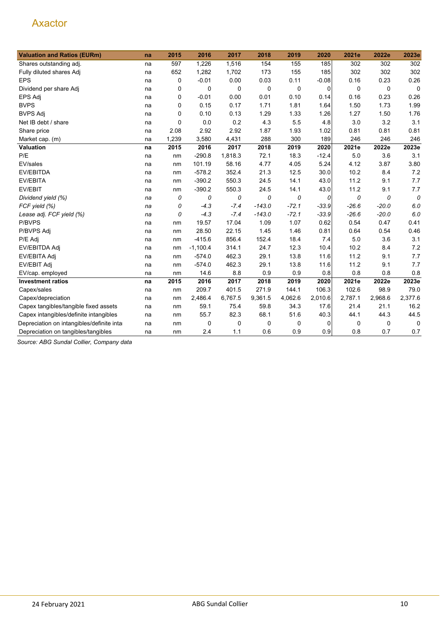| <b>Valuation and Ratios (EURm)</b>         | na | 2015        | 2016       | 2017    | 2018     | 2019        | 2020        | 2021e   | 2022e   | 2023e       |
|--------------------------------------------|----|-------------|------------|---------|----------|-------------|-------------|---------|---------|-------------|
| Shares outstanding adj.                    | na | 597         | 1,226      | 1,516   | 154      | 155         | 185         | 302     | 302     | 302         |
| Fully diluted shares Adj                   | na | 652         | 1,282      | 1,702   | 173      | 155         | 185         | 302     | 302     | 302         |
| <b>EPS</b>                                 | na | 0           | $-0.01$    | 0.00    | 0.03     | 0.11        | $-0.08$     | 0.16    | 0.23    | 0.26        |
| Dividend per share Adj                     | na | 0           | 0          | 0       | 0        | $\mathbf 0$ | $\mathbf 0$ | 0       | 0       | $\mathbf 0$ |
| EPS Adj                                    | na | 0           | $-0.01$    | 0.00    | 0.01     | 0.10        | 0.14        | 0.16    | 0.23    | 0.26        |
| <b>BVPS</b>                                | na | 0           | 0.15       | 0.17    | 1.71     | 1.81        | 1.64        | 1.50    | 1.73    | 1.99        |
| <b>BVPS Adj</b>                            | na | 0           | 0.10       | 0.13    | 1.29     | 1.33        | 1.26        | 1.27    | 1.50    | 1.76        |
| Net IB debt / share                        | na | $\mathbf 0$ | 0.0        | 0.2     | 4.3      | 5.5         | 4.8         | 3.0     | 3.2     | 3.1         |
| Share price                                | na | 2.08        | 2.92       | 2.92    | 1.87     | 1.93        | 1.02        | 0.81    | 0.81    | 0.81        |
| Market cap. (m)                            | na | 1,239       | 3,580      | 4,431   | 288      | 300         | 189         | 246     | 246     | 246         |
| Valuation                                  | na | 2015        | 2016       | 2017    | 2018     | 2019        | 2020        | 2021e   | 2022e   | 2023e       |
| P/E                                        | na | nm          | $-290.8$   | 1,818.3 | 72.1     | 18.3        | $-12.4$     | 5.0     | 3.6     | 3.1         |
| EV/sales                                   | na | nm          | 101.19     | 58.16   | 4.77     | 4.05        | 5.24        | 4.12    | 3.87    | 3.80        |
| EV/EBITDA                                  | na | nm          | $-578.2$   | 352.4   | 21.3     | 12.5        | 30.0        | 10.2    | 8.4     | 7.2         |
| <b>EV/EBITA</b>                            | na | nm          | $-390.2$   | 550.3   | 24.5     | 14.1        | 43.0        | 11.2    | 9.1     | 7.7         |
| EV/EBIT                                    | na | nm          | $-390.2$   | 550.3   | 24.5     | 14.1        | 43.0        | 11.2    | 9.1     | 7.7         |
| Dividend yield (%)                         | na | 0           | 0          | 0       | 0        | 0           | 0           | 0       | 0       | 0           |
| FCF yield (%)                              | na | 0           | $-4.3$     | $-7.4$  | $-143.0$ | $-72.1$     | $-33.9$     | $-26.6$ | $-20.0$ | 6.0         |
| Lease adj. FCF yield (%)                   | na | 0           | $-4.3$     | $-7.4$  | $-143.0$ | $-72.1$     | $-33.9$     | $-26.6$ | $-20.0$ | 6.0         |
| P/BVPS                                     | na | nm          | 19.57      | 17.04   | 1.09     | 1.07        | 0.62        | 0.54    | 0.47    | 0.41        |
| P/BVPS Adj                                 | na | nm          | 28.50      | 22.15   | 1.45     | 1.46        | 0.81        | 0.64    | 0.54    | 0.46        |
| P/E Adj                                    | na | nm          | $-415.6$   | 856.4   | 152.4    | 18.4        | 7.4         | 5.0     | 3.6     | 3.1         |
| EV/EBITDA Adj                              | na | nm          | $-1,100.4$ | 314.1   | 24.7     | 12.3        | 10.4        | 10.2    | 8.4     | 7.2         |
| EV/EBITA Adj                               | na | nm          | $-574.0$   | 462.3   | 29.1     | 13.8        | 11.6        | 11.2    | 9.1     | 7.7         |
| EV/EBIT Adj                                | na | nm          | $-574.0$   | 462.3   | 29.1     | 13.8        | 11.6        | 11.2    | 9.1     | 7.7         |
| EV/cap. employed                           | na | nm          | 14.6       | 8.8     | 0.9      | 0.9         | 0.8         | 0.8     | 0.8     | 0.8         |
| <b>Investment ratios</b>                   | na | 2015        | 2016       | 2017    | 2018     | 2019        | 2020        | 2021e   | 2022e   | 2023e       |
| Capex/sales                                | na | nm          | 209.7      | 401.5   | 271.9    | 144.1       | 106.3       | 102.6   | 98.9    | 79.0        |
| Capex/depreciation                         | na | nm          | 2,486.4    | 6,767.5 | 9,361.5  | 4,062.6     | 2,010.6     | 2,787.1 | 2,968.6 | 2,377.6     |
| Capex tangibles/tangible fixed assets      | na | nm          | 59.1       | 75.4    | 59.8     | 34.3        | 17.6        | 21.4    | 21.1    | 16.2        |
| Capex intangibles/definite intangibles     | na | nm          | 55.7       | 82.3    | 68.1     | 51.6        | 40.3        | 44.1    | 44.3    | 44.5        |
| Depreciation on intangibles/definite intar | na | nm          | 0          | 0       | 0        | 0           | 0           | 0       | 0       | 0           |
| Depreciation on tangibles/tangibles        | na | nm          | 2.4        | 1.1     | 0.6      | 0.9         | 0.9         | 0.8     | 0.7     | 0.7         |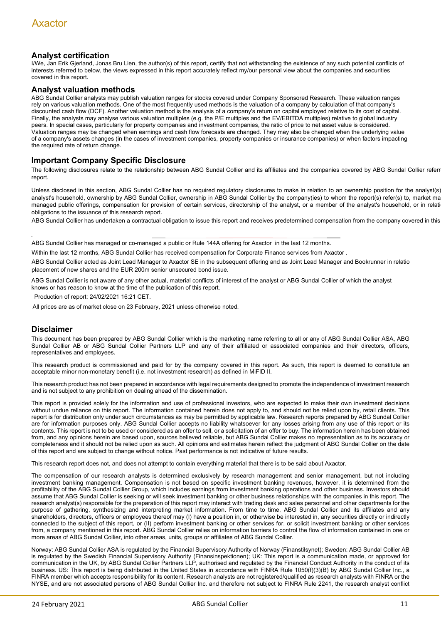# **Analyst certification**

I/We, Jan Erik Gjerland, Jonas Bru Lien, the author(s) of this report, certify that not withstanding the existence of any such potential conflicts of interests referred to below, the views expressed in this report accurately reflect my/our personal view about the companies and securities covered in this report.

#### **Analyst valuation methods**

ABG Sundal Collier analysts may publish valuation ranges for stocks covered under Company Sponsored Research. These valuation ranges rely on various valuation methods. One of the most frequently used methods is the valuation of a company by calculation of that company's discounted cash flow (DCF). Another valuation method is the analysis of a company's return on capital employed relative to its cost of capital. Finally, the analysts may analyse various valuation multiples (e.g. the P/E multiples and the EV/EBITDA multiples) relative to global industry peers. In special cases, particularly for property companies and investment companies, the ratio of price to net asset value is considered. Valuation ranges may be changed when earnings and cash flow forecasts are changed. They may also be changed when the underlying value of a company's assets changes (in the cases of investment companies, property companies or insurance companies) or when factors impacting the required rate of return change.

### **Important Company Specific Disclosure**

The following disclosures relate to the relationship between ABG Sundal Collier and its affiliates and the companies covered by ABG Sundal Collier referr report.

Unless disclosed in this section, ABG Sundal Collier has no required regulatory disclosures to make in relation to an ownership position for the analyst(s) analyst's household, ownership by ABG Sundal Collier, ownership in ABG Sundal Collier by the company(ies) to whom the report(s) refer(s) to, market ma managed public offerings, compensation for provision of certain services, directorship of the analyst, or a member of the analyst's household, or in relati obligations to the issuance of this research report.

ABG Sundal Collier has undertaken a contractual obligation to issue this report and receives predetermined compensation from the company covered in this

ABG Sundal Collier has managed or co-managed a public or Rule 144A offering for Axactor in the last 12 months.

Within the last 12 months, ABG Sundal Collier has received compensation for Corporate Finance services from Axactor .

ABG Sundal Collier acted as Joint Lead Manager to Axactor SE in the subsequent offering and as Joint Lead Manager and Bookrunner in relatio placement of new shares and the EUR 200m senior unsecured bond issue.

ABG Sundal Collier is not aware of any other actual, material conflicts of interest of the analyst or ABG Sundal Collier of which the analyst knows or has reason to know at the time of the publication of this report.

Production of report: 24/02/2021 16:21 CET.

All prices are as of market close on 23 February, 2021 unless otherwise noted.

# **Disclaimer**

This document has been prepared by ABG Sundal Collier which is the marketing name referring to all or any of ABG Sundal Collier ASA, ABG Sundal Collier AB or ABG Sundal Collier Partners LLP and any of their affiliated or associated companies and their directors, officers, representatives and employees.

This research product is commissioned and paid for by the company covered in this report. As such, this report is deemed to constitute an acceptable minor non-monetary benefit (i.e. not investment research) as defined in MiFID II.

This research product has not been prepared in accordance with legal requirements designed to promote the independence of investment research and is not subject to any prohibition on dealing ahead of the dissemination.

This report is provided solely for the information and use of professional investors, who are expected to make their own investment decisions without undue reliance on this report. The information contained herein does not apply to, and should not be relied upon by, retail clients. This report is for distribution only under such circumstances as may be permitted by applicable law. Research reports prepared by ABG Sundal Collier are for information purposes only. ABG Sundal Collier accepts no liability whatsoever for any losses arising from any use of this report or its contents. This report is not to be used or considered as an offer to sell, or a solicitation of an offer to buy. The information herein has been obtained from, and any opinions herein are based upon, sources believed reliable, but ABG Sundal Collier makes no representation as to its accuracy or completeness and it should not be relied upon as such. All opinions and estimates herein reflect the judgment of ABG Sundal Collier on the date of this report and are subject to change without notice. Past performance is not indicative of future results.

This research report does not, and does not attempt to contain everything material that there is to be said about Axactor.

The compensation of our research analysts is determined exclusively by research management and senior management, but not including investment banking management. Compensation is not based on specific investment banking revenues, however, it is determined from the profitability of the ABG Sundal Collier Group, which includes earnings from investment banking operations and other business. Investors should assume that ABG Sundal Collier is seeking or will seek investment banking or other business relationships with the companies in this report. The research analyst(s) responsible for the preparation of this report may interact with trading desk and sales personnel and other departments for the purpose of gathering, synthesizing and interpreting market information. From time to time, ABG Sundal Collier and its affiliates and any shareholders, directors, officers or employees thereof may (I) have a position in, or otherwise be interested in, any securities directly or indirectly connected to the subject of this report, or (II) perform investment banking or other services for, or solicit investment banking or other services from, a company mentioned in this report. ABG Sundal Collier relies on information barriers to control the flow of information contained in one or more areas of ABG Sundal Collier, into other areas, units, groups or affiliates of ABG Sundal Collier.

Norway: ABG Sundal Collier ASA is regulated by the Financial Supervisory Authority of Norway (Finanstilsynet); Sweden: ABG Sundal Collier AB is regulated by the Swedish Financial Supervisory Authority (Finansinspektionen); UK: This report is a communication made, or approved for communication in the UK, by ABG Sundal Collier Partners LLP, authorised and regulated by the Financial Conduct Authority in the conduct of its business. US: This report is being distributed in the United States in accordance with FINRA Rule 1050(f)(3)(B) by ABG Sundal Collier Inc., a FINRA member which accepts responsibility for its content. Research analysts are not registered/qualified as research analysts with FINRA or the NYSE, and are not associated persons of ABG Sundal Collier Inc. and therefore not subject to FINRA Rule 2241, the research analyst conflict